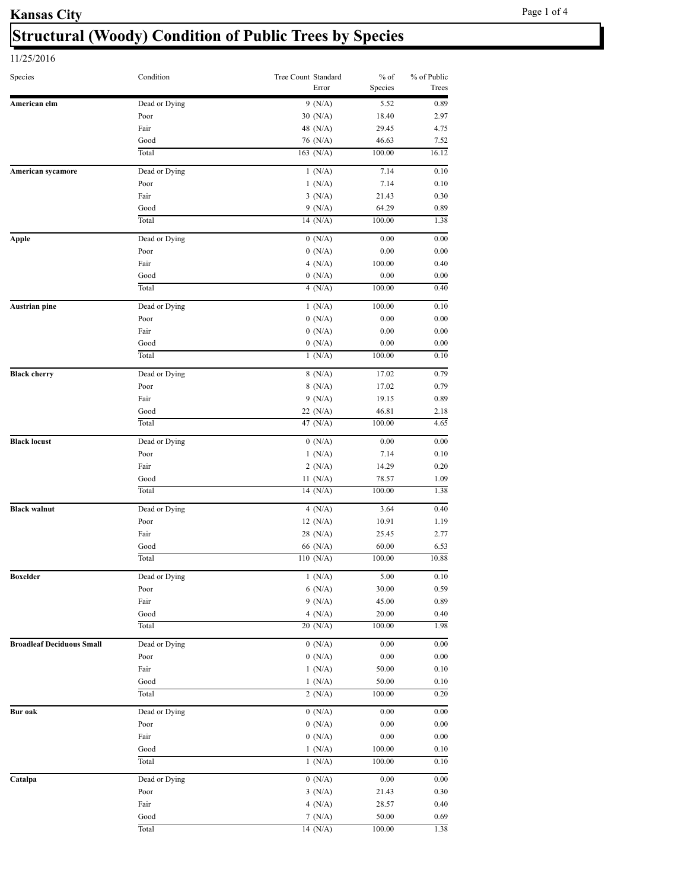# **Structural (Woody) Condition of Public Trees by Species**

| Species                          | Condition     | Tree Count Standard<br>Error                                                                                                                                                                                                                                                                                                                                                                                                                                             | $%$ of<br>Species | % of Public<br>Trees |
|----------------------------------|---------------|--------------------------------------------------------------------------------------------------------------------------------------------------------------------------------------------------------------------------------------------------------------------------------------------------------------------------------------------------------------------------------------------------------------------------------------------------------------------------|-------------------|----------------------|
| American elm                     | Dead or Dying | $9 \overline{(N/A)}$                                                                                                                                                                                                                                                                                                                                                                                                                                                     | 5.52              | 0.89                 |
|                                  | Poor          | 30 (N/A)                                                                                                                                                                                                                                                                                                                                                                                                                                                                 | 18.40             | 2.97                 |
|                                  | Fair          | 48 (N/A)                                                                                                                                                                                                                                                                                                                                                                                                                                                                 | 29.45             | 4.75                 |
|                                  | Good          | 76 (N/A)                                                                                                                                                                                                                                                                                                                                                                                                                                                                 | 46.63             | 7.52                 |
|                                  | Total         | 163 $(N/A)$                                                                                                                                                                                                                                                                                                                                                                                                                                                              | 100.00            | 16.12                |
| American sycamore                | Dead or Dying | 1(N/A)                                                                                                                                                                                                                                                                                                                                                                                                                                                                   | 7.14              | 0.10                 |
|                                  | Poor          | 1(N/A)                                                                                                                                                                                                                                                                                                                                                                                                                                                                   | 7.14              | 0.10                 |
|                                  | Fair          | 3(N/A)                                                                                                                                                                                                                                                                                                                                                                                                                                                                   | 21.43             | 0.30                 |
|                                  | Good          | 9(N/A)                                                                                                                                                                                                                                                                                                                                                                                                                                                                   | 64.29             | 0.89                 |
|                                  | Total         | 14 $(N/A)$                                                                                                                                                                                                                                                                                                                                                                                                                                                               | 100.00            | 1.38                 |
| <b>Apple</b>                     | Dead or Dying |                                                                                                                                                                                                                                                                                                                                                                                                                                                                          | 0.00              | 0.00                 |
|                                  | Poor          |                                                                                                                                                                                                                                                                                                                                                                                                                                                                          | 0.00              | 0.00                 |
|                                  | Fair          |                                                                                                                                                                                                                                                                                                                                                                                                                                                                          | 100.00            | 0.40                 |
|                                  | Good          |                                                                                                                                                                                                                                                                                                                                                                                                                                                                          | 0.00              | 0.00                 |
|                                  | Total         | 4 $(N/A)$                                                                                                                                                                                                                                                                                                                                                                                                                                                                | 100.00            | 0.40                 |
| <b>Austrian pine</b>             | Dead or Dying |                                                                                                                                                                                                                                                                                                                                                                                                                                                                          | 100.00            | 0.10                 |
|                                  | Poor          |                                                                                                                                                                                                                                                                                                                                                                                                                                                                          | 0.00              | 0.00                 |
|                                  | Fair          |                                                                                                                                                                                                                                                                                                                                                                                                                                                                          | 0.00              | 0.00                 |
|                                  | Good          |                                                                                                                                                                                                                                                                                                                                                                                                                                                                          | 0.00              | 0.00                 |
|                                  | Total         | 1(N/A)                                                                                                                                                                                                                                                                                                                                                                                                                                                                   | 100.00            | 0.10                 |
| <b>Black cherry</b>              | Dead or Dying |                                                                                                                                                                                                                                                                                                                                                                                                                                                                          | 17.02             | 0.79                 |
|                                  | Poor          |                                                                                                                                                                                                                                                                                                                                                                                                                                                                          |                   | 0.79                 |
|                                  | Fair          |                                                                                                                                                                                                                                                                                                                                                                                                                                                                          |                   | 0.89                 |
|                                  | Good          |                                                                                                                                                                                                                                                                                                                                                                                                                                                                          |                   | 2.18                 |
|                                  | Total         |                                                                                                                                                                                                                                                                                                                                                                                                                                                                          | 100.00            | 4.65                 |
|                                  |               |                                                                                                                                                                                                                                                                                                                                                                                                                                                                          |                   |                      |
| <b>Black locust</b>              | Dead or Dying |                                                                                                                                                                                                                                                                                                                                                                                                                                                                          | 0.00              | 0.00                 |
|                                  | Poor          |                                                                                                                                                                                                                                                                                                                                                                                                                                                                          | 7.14              | 0.10                 |
|                                  | Fair          |                                                                                                                                                                                                                                                                                                                                                                                                                                                                          | 14.29             | 0.20                 |
|                                  | Good<br>Total |                                                                                                                                                                                                                                                                                                                                                                                                                                                                          | 78.57             | 1.09<br>1.38         |
|                                  |               |                                                                                                                                                                                                                                                                                                                                                                                                                                                                          |                   |                      |
| <b>Black walnut</b>              | Dead or Dying |                                                                                                                                                                                                                                                                                                                                                                                                                                                                          | 3.64              | 0.40                 |
|                                  | Poor          |                                                                                                                                                                                                                                                                                                                                                                                                                                                                          | 10.91             | 1.19                 |
|                                  | Fair          |                                                                                                                                                                                                                                                                                                                                                                                                                                                                          | 25.45             | 2.77                 |
|                                  | Good          | 66 (N/A)                                                                                                                                                                                                                                                                                                                                                                                                                                                                 | 60.00             | 6.53                 |
|                                  | Total         |                                                                                                                                                                                                                                                                                                                                                                                                                                                                          | 100.00            | 10.88                |
| <b>Boxelder</b>                  | Dead or Dying | 1(N/A)                                                                                                                                                                                                                                                                                                                                                                                                                                                                   | 5.00              | 0.10                 |
|                                  | Poor          | 6(N/A)                                                                                                                                                                                                                                                                                                                                                                                                                                                                   | 30.00             | 0.59                 |
|                                  | Fair          |                                                                                                                                                                                                                                                                                                                                                                                                                                                                          | 45.00             | 0.89                 |
|                                  | Good          | 4(N/A)                                                                                                                                                                                                                                                                                                                                                                                                                                                                   | 20.00             | 0.40                 |
|                                  | Total         | 0(N/A)<br>0(N/A)<br>4 $(N/A)$<br>0(N/A)<br>1(N/A)<br>0(N/A)<br>0(N/A)<br>0(N/A)<br>8(N/A)<br>8(N/A)<br>17.02<br>9 (N/A)<br>19.15<br>46.81<br>22 (N/A)<br>47 (N/A)<br>0(N/A)<br>1(N/A)<br>2(N/A)<br>11 $(N/A)$<br>100.00<br>14 $(N/A)$<br>4(N/A)<br>12 $(N/A)$<br>28 (N/A)<br>110(N/A)<br>9(N/A)<br>20(N/A)<br>0(N/A)<br>0(N/A)<br>1(N/A)<br>1(N/A)<br>2(N/A)<br>0(N/A)<br>0(N/A)<br>0(N/A)<br>1(N/A)<br>1(N/A)<br>0(N/A)<br>3(N/A)<br>21.43<br>4(N/A)<br>28.57<br>7(N/A) | 100.00            | 1.98                 |
| <b>Broadleaf Deciduous Small</b> | Dead or Dying |                                                                                                                                                                                                                                                                                                                                                                                                                                                                          | 0.00              | 0.00                 |
|                                  | Poor          |                                                                                                                                                                                                                                                                                                                                                                                                                                                                          | $0.00\,$          | 0.00                 |
|                                  | Fair          |                                                                                                                                                                                                                                                                                                                                                                                                                                                                          | 50.00             | 0.10                 |
|                                  | Good          |                                                                                                                                                                                                                                                                                                                                                                                                                                                                          | 50.00             | 0.10                 |
|                                  | Total         |                                                                                                                                                                                                                                                                                                                                                                                                                                                                          | 100.00            | 0.20                 |
| <b>Bur oak</b>                   | Dead or Dying |                                                                                                                                                                                                                                                                                                                                                                                                                                                                          | 0.00              | 0.00                 |
|                                  | Poor          |                                                                                                                                                                                                                                                                                                                                                                                                                                                                          | $0.00\,$          | 0.00                 |
|                                  | Fair          |                                                                                                                                                                                                                                                                                                                                                                                                                                                                          | $0.00\,$          | $0.00\,$             |
|                                  | Good          |                                                                                                                                                                                                                                                                                                                                                                                                                                                                          | 100.00            | 0.10                 |
|                                  | Total         |                                                                                                                                                                                                                                                                                                                                                                                                                                                                          | 100.00            | 0.10                 |
|                                  | Dead or Dying |                                                                                                                                                                                                                                                                                                                                                                                                                                                                          |                   |                      |
| Catalpa                          | Poor          |                                                                                                                                                                                                                                                                                                                                                                                                                                                                          | 0.00              | 0.00<br>0.30         |
|                                  | Fair          |                                                                                                                                                                                                                                                                                                                                                                                                                                                                          |                   | 0.40                 |
|                                  | Good          |                                                                                                                                                                                                                                                                                                                                                                                                                                                                          | 50.00             | 0.69                 |
|                                  | Total         | 14(N/A)                                                                                                                                                                                                                                                                                                                                                                                                                                                                  | 100.00            | 1.38                 |
|                                  |               |                                                                                                                                                                                                                                                                                                                                                                                                                                                                          |                   |                      |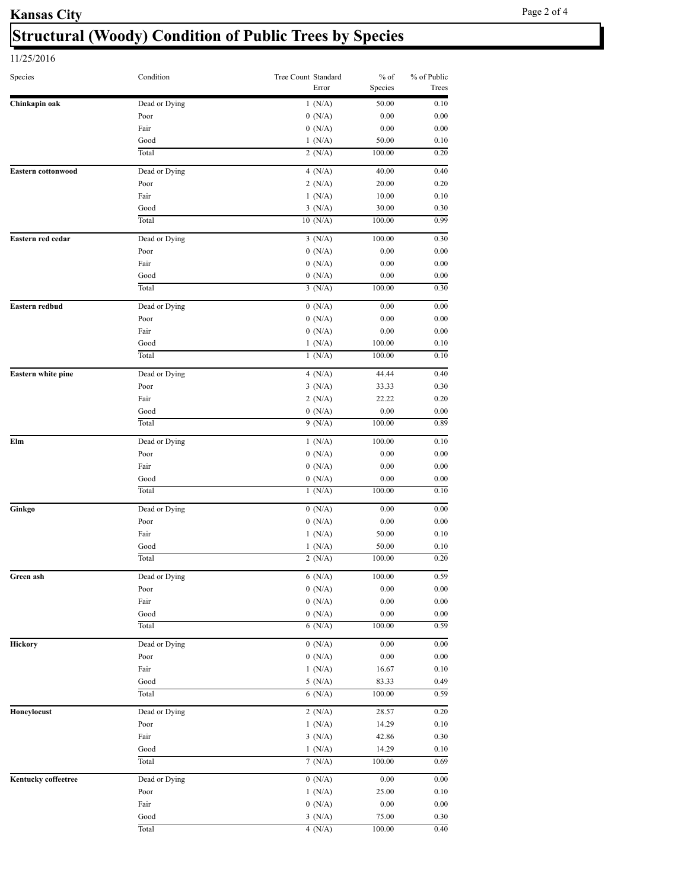# **Structural (Woody) Condition of Public Trees by Species**

| Species                   | Condition             | Tree Count Standard<br>Error | $%$ of<br>Species  | % of Public<br>Trees |
|---------------------------|-----------------------|------------------------------|--------------------|----------------------|
| Chinkapin oak             | Dead or Dying         | 1(N/A)                       | 50.00              | 0.10                 |
|                           | Poor                  | 0(N/A)                       | 0.00               | 0.00                 |
|                           | Fair                  | 0(N/A)                       | 0.00               | 0.00                 |
|                           | Good                  | 1(N/A)                       | 50.00              | 0.10                 |
|                           | Total                 | $2 \overline{(N/A)}$         | 100.00             | 0.20                 |
| <b>Eastern cottonwood</b> | Dead or Dying         | 4 $(N/A)$                    | 40.00              | 0.40                 |
|                           | Poor                  | 2(N/A)                       | 20.00              | 0.20                 |
|                           | Fair                  | 1(N/A)                       | 10.00              | 0.10                 |
|                           | Good                  | 3(N/A)                       | 30.00              | 0.30                 |
|                           | Total                 | 10(N/A)                      | 100.00             | 0.99                 |
| Eastern red cedar         | Dead or Dying         | 3(N/A)                       | 100.00             | 0.30                 |
|                           | Poor                  | 0(N/A)                       | 0.00               | 0.00                 |
|                           | Fair                  | 0(N/A)                       | 0.00               | 0.00                 |
|                           | Good                  | 0(N/A)                       | 0.00               | 0.00                 |
|                           | Total                 | 3(N/A)                       | 100.00             | 0.30                 |
| Eastern redbud            | Dead or Dying         | 0(N/A)                       | 0.00               | 0.00                 |
|                           | Poor                  | 0(N/A)                       | 0.00               | 0.00                 |
|                           | Fair                  | 0(N/A)                       | 0.00               | 0.00                 |
|                           | Good                  | 1(N/A)                       | 100.00             | 0.10                 |
|                           | Total                 | 1(N/A)                       | 100.00             | 0.10                 |
| Eastern white pine        | Dead or Dying         | 4 $(N/A)$                    | 44.44              | 0.40                 |
|                           | Poor                  | 3(N/A)                       | 33.33              | 0.30                 |
|                           | Fair                  | 2(N/A)                       | 22.22              | 0.20                 |
|                           | Good                  | 0(N/A)                       | 0.00               | 0.00                 |
|                           | Total                 | 9(N/A)                       | 100.00             | 0.89                 |
|                           | Dead or Dying         |                              |                    |                      |
| Elm                       | Poor                  | 1(N/A)<br>0(N/A)             | 100.00<br>0.00     | 0.10<br>0.00         |
|                           | Fair                  | 0(N/A)                       | 0.00               | 0.00                 |
|                           | Good                  | 0(N/A)                       | 0.00               | 0.00                 |
|                           | Total                 | 1(N/A)                       | 100.00             | 0.10                 |
| Ginkgo                    |                       |                              |                    |                      |
|                           | Dead or Dying<br>Poor | 0(N/A)                       | 0.00<br>0.00       | 0.00<br>0.00         |
|                           | Fair                  | 0(N/A)                       |                    |                      |
|                           |                       | 1(N/A)                       | 50.00              | 0.10                 |
|                           | Good<br>Total         | 1(N/A)<br>$2$ (N/A)          | 50.00<br>100.00    | 0.10<br>0.20         |
|                           |                       |                              |                    |                      |
| Green ash                 | Dead or Dying         | 6(N/A)                       | 100.00             | 0.59                 |
|                           | Poor                  | 0(N/A)                       | $0.00\,$           | $0.00\,$             |
|                           | Fair                  | 0(N/A)                       | $0.00\,$           | $0.00\,$             |
|                           | Good<br>Total         | 0(N/A)<br>6(N/A)             | $0.00\,$<br>100.00 | 0.00<br>0.59         |
|                           |                       |                              |                    |                      |
| Hickory                   | Dead or Dying         | 0(N/A)                       | 0.00               | 0.00                 |
|                           | Poor                  | 0(N/A)                       | 0.00               | 0.00                 |
|                           | Fair                  | 1(N/A)                       | 16.67              | 0.10                 |
|                           | Good                  | 5(N/A)                       | 83.33              | 0.49                 |
|                           | Total                 | 6(N/A)                       | 100.00             | 0.59                 |
| Honeylocust               | Dead or Dying         | 2(N/A)                       | 28.57              | $0.20\,$             |
|                           | Poor                  | 1(N/A)                       | 14.29              | 0.10                 |
|                           | Fair                  | 3(N/A)                       | 42.86              | 0.30                 |
|                           | Good                  | 1(N/A)                       | 14.29              | 0.10                 |
|                           | Total                 | 7(N/A)                       | 100.00             | 0.69                 |
| Kentucky coffeetree       | Dead or Dying         | 0(N/A)                       | 0.00               | 0.00                 |
|                           | Poor                  | 1(N/A)                       | 25.00              | 0.10                 |
|                           | Fair                  | 0(N/A)                       | $0.00\,$           | 0.00                 |
|                           | Good                  | 3(N/A)                       | 75.00              | 0.30                 |
|                           | Total                 | 4(N/A)                       | 100.00             | 0.40                 |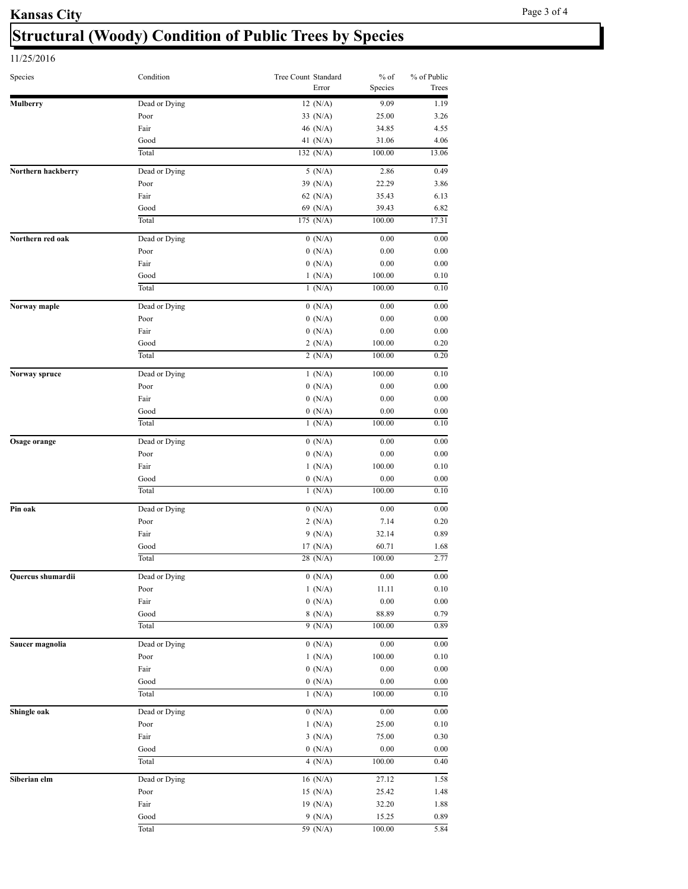# **Structural (Woody) Condition of Public Trees by Species**

| Species             | Condition     | Tree Count Standard | Error | $%$ of<br>Species | % of Public<br>Trees |
|---------------------|---------------|---------------------|-------|-------------------|----------------------|
| <b>Mulberry</b>     | Dead or Dying | 12 $(N/A)$          |       | 9.09              | 1.19                 |
|                     | Poor          | 33 $(N/A)$          |       | 25.00             | 3.26                 |
|                     | Fair          | 46 (N/A)            |       | 34.85             | 4.55                 |
|                     | Good          | 41 (N/A)            |       | 31.06             | 4.06                 |
|                     | Total         | 132 $(N/A)$         |       | 100.00            | 13.06                |
| Northern hackberry  | Dead or Dying | 5(N/A)              |       | 2.86              | 0.49                 |
|                     | Poor          | 39 (N/A)            |       | 22.29             | 3.86                 |
|                     | Fair          | 62 $(N/A)$          |       | 35.43             | 6.13                 |
|                     | Good          | 69 (N/A)            |       | 39.43             | 6.82                 |
|                     | Total         | 175 (N/A)           |       | 100.00            | 17.31                |
| Northern red oak    | Dead or Dying | 0(N/A)              |       | 0.00              | 0.00                 |
|                     | Poor          | 0(N/A)              |       | 0.00              | 0.00                 |
|                     | Fair          | 0(N/A)              |       | 0.00              | 0.00                 |
|                     | Good          | 1(N/A)              |       | 100.00            | 0.10                 |
|                     | Total         | 1(N/A)              |       | 100.00            | 0.10                 |
| Norway maple        | Dead or Dying | 0(N/A)              |       | 0.00              | 0.00                 |
|                     | Poor          | 0(N/A)              |       | 0.00              | 0.00                 |
|                     | Fair          | 0(N/A)              |       | 0.00              | 0.00                 |
|                     | Good          | 2(N/A)              |       | 100.00            | 0.20                 |
|                     | Total         | 2(N/A)              |       | 100.00            | 0.20                 |
| Norway spruce       | Dead or Dying | 1(N/A)              |       | 100.00            | 0.10                 |
|                     | Poor          | 0(N/A)              |       | 0.00              | 0.00                 |
|                     | Fair          | 0(N/A)              |       | 0.00              | 0.00                 |
|                     | Good          | 0(N/A)              |       | 0.00              | 0.00                 |
|                     | Total         | 1(N/A)              |       | 100.00            | 0.10                 |
| <b>Osage orange</b> | Dead or Dying | 0(N/A)              |       | 0.00              | 0.00                 |
|                     | Poor          | 0(N/A)              |       | 0.00              | 0.00                 |
|                     | Fair          | 1(N/A)              |       | 100.00            | 0.10                 |
|                     | Good          | 0(N/A)              |       | 0.00              | 0.00                 |
|                     | Total         | 1(N/A)              |       | 100.00            | 0.10                 |
| Pin oak             | Dead or Dying | 0(N/A)              |       | 0.00              | 0.00                 |
|                     | Poor          | 2(N/A)              |       | 7.14              | 0.20                 |
|                     | Fair          | 9(N/A)              |       | 32.14             | 0.89                 |
|                     | Good          | 17 $(N/A)$          |       | 60.71             | 1.68                 |
|                     | Total         | 28(N/A)             |       | 100.00            | 2.77                 |
|                     | Dead or Dying | 0(N/A)              |       | 0.00              | $0.00\,$             |
| Quercus shumardii   | Poor          | 1(N/A)              |       | 11.11             | 0.10                 |
|                     | Fair          | 0(N/A)              |       | $0.00\,$          | $0.00\,$             |
|                     | Good          | 8(N/A)              |       | 88.89             | 0.79                 |
|                     | Total         | 9(N/A)              |       | 100.00            | 0.89                 |
| Saucer magnolia     | Dead or Dying | 0(N/A)              |       | 0.00              | 0.00                 |
|                     | Poor          | 1(N/A)              |       | 100.00            | 0.10                 |
|                     | Fair          | 0(N/A)              |       | $0.00\,$          | 0.00                 |
|                     | Good          | 0(N/A)              |       | 0.00              | 0.00                 |
|                     | Total         | 1(N/A)              |       | 100.00            | 0.10                 |
|                     | Dead or Dying | 0(N/A)              |       | 0.00              | 0.00                 |
| Shingle oak         |               | 1(N/A)              |       |                   |                      |
|                     | Poor<br>Fair  | 3(N/A)              |       | 25.00<br>75.00    | 0.10<br>0.30         |
|                     | Good          | 0(N/A)              |       | $0.00\,$          | 0.00                 |
|                     | Total         | 4 $(N/A)$           |       | 100.00            | 0.40                 |
|                     |               |                     |       |                   |                      |
| Siberian elm        | Dead or Dying | 16 $(N/A)$          |       | 27.12             | 1.58                 |
|                     | Poor          | 15 $(N/A)$          |       | 25.42             | 1.48                 |
|                     | Fair          | 19 $(N/A)$          |       | 32.20             | 1.88                 |
|                     | Good          | 9(N/A)              |       | 15.25             | 0.89                 |
|                     | Total         | 59 (N/A)            |       | 100.00            | 5.84                 |